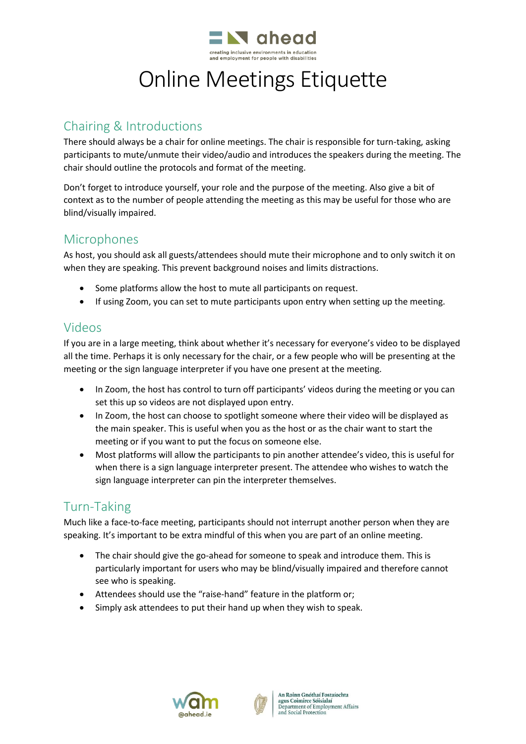

# Online Meetings Etiquette

## Chairing & Introductions

There should always be a chair for online meetings. The chair is responsible for turn-taking, asking participants to mute/unmute their video/audio and introduces the speakers during the meeting. The chair should outline the protocols and format of the meeting.

Don't forget to introduce yourself, your role and the purpose of the meeting. Also give a bit of context as to the number of people attending the meeting as this may be useful for those who are blind/visually impaired.

### Microphones

As host, you should ask all guests/attendees should mute their microphone and to only switch it on when they are speaking. This prevent background noises and limits distractions.

- Some platforms allow the host to mute all participants on request.
- If using Zoom, you can set to mute participants upon entry when setting up the meeting.

#### Videos

If you are in a large meeting, think about whether it's necessary for everyone's video to be displayed all the time. Perhaps it is only necessary for the chair, or a few people who will be presenting at the meeting or the sign language interpreter if you have one present at the meeting.

- In Zoom, the host has control to turn off participants' videos during the meeting or you can set this up so videos are not displayed upon entry.
- In Zoom, the host can choose to spotlight someone where their video will be displayed as the main speaker. This is useful when you as the host or as the chair want to start the meeting or if you want to put the focus on someone else.
- Most platforms will allow the participants to pin another attendee's video, this is useful for when there is a sign language interpreter present. The attendee who wishes to watch the sign language interpreter can pin the interpreter themselves.

# Turn-Taking

Much like a face-to-face meeting, participants should not interrupt another person when they are speaking. It's important to be extra mindful of this when you are part of an online meeting.

- The chair should give the go-ahead for someone to speak and introduce them. This is particularly important for users who may be blind/visually impaired and therefore cannot see who is speaking.
- Attendees should use the "raise-hand" feature in the platform or;
- Simply ask attendees to put their hand up when they wish to speak.